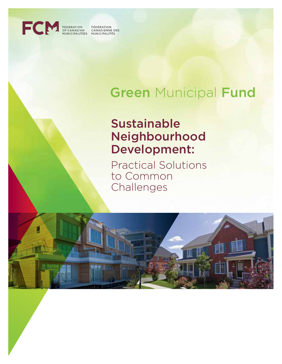

FEDERATION<br>OF CANADIAN FÉDÉRATION<br>CANADIENNE DES OF CANADIAN - CANADIENNE D<br>MUNICIPALITIES - MUNICIPALITÉS

# **Green Municipal Fund**

## Sustainable Neighbourhood Development:

Practical Solutions to Common Challenges

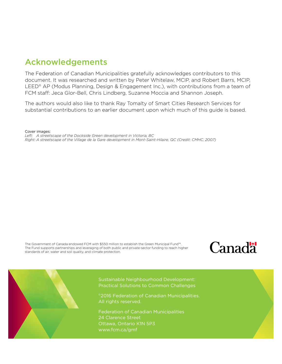## Acknowledgements

The Federation of Canadian Municipalities gratefully acknowledges contributors to this document. It was researched and written by Peter Whitelaw, MCIP, and Robert Barrs, MCIP, LEED<sup>®</sup> AP (Modus Planning, Design & Engagement Inc.), with contributions from a team of FCM staff: Jeca Glor-Bell, Chris Lindberg, Suzanne Moccia and Shannon Joseph.

The authors would also like to thank Ray Tomalty of Smart Cities Research Services for substantial contributions to an earlier document upon which much of this guide is based.

Cover images:

*Left: A streetscape of the Dockside Green development in Victoria, BC Right: A streetscape of the Village de la Gare development in Mont-Saint-Hilaire, QC (Credit: CMHC, 2007)* 

The Government of Canada endowed FCM with \$550 million to establish the Green Municipal Fund™. The Fund supports partnerships and leveraging of both public and private-sector funding to reach higher standards of air, water and soil quality, and climate protection.





Sustainable Neighbourhood Development: Practical Solutions to Common Challenges

©2016 Federation of Canadian Municipalities. All rights reserved.

Federation of Canadian Municipalities 24 Clarence Street Ottawa, Ontario K1N 5P3 www.fcm.ca/gmf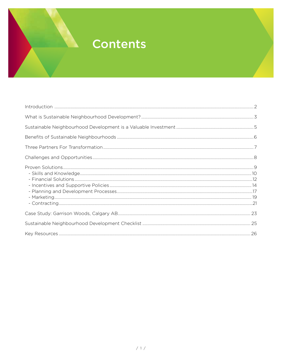## **Contents**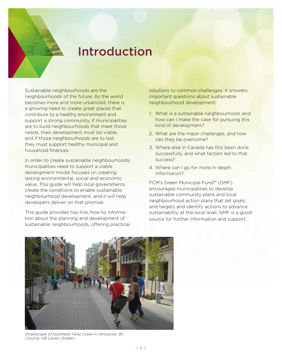## Introduction

Sustainable neighbourhoods are the neighbourhoods of the future. As the world becomes more and more urbanized, there is a growing need to create great places that contribute to a healthy environment and support a strong community. If municipalities are to build neighbourhoods that meet those needs, their development must be viable, and if those neighbourhoods are to last, they must support healthy municipal and household finances.

In order to create sustainable neighbourhoods, municipalities need to support a viable development model focused on creating lasting environmental, social and economic value. This guide will help local governments create the conditions to enable sustainable neighbourhood development, and it will help developers deliver on that promise.

This guide provides top-line, how-to information about the planning and development of sustainable neighbourhoods, offering practical solutions to common challenges. It answers important questions about sustainable neighbourhood development:

- 1. What is a sustainable neighbourhood, and how can I make the case for pursuing this kind of development?
- 2. What are the major challenges, and how can they be overcome?
- 3. Where else in Canada has this been done successfully, and what factors led to that success?
- 4. Where can I go for more in-depth information?

FCM's Green Municipal Fund™ (GMF) encourages municipalities to develop sustainable community plans and local neighbourhood action plans that set goals and targets and identify actions to advance sustainability at the local level. GMF is a good source for further information and support.



*Streetscape of Southeast False Creek in Vancouver, BC (Source: HB Lanarc Golder)*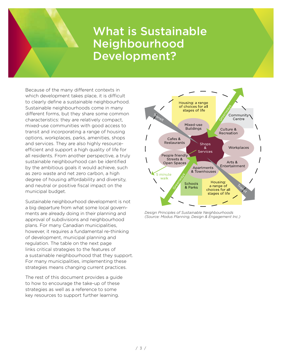## What is Sustainable Neighbourhood Development?

Because of the many different contexts in which development takes place, it is difficult to clearly define a sustainable neighbourhood. Sustainable neighbourhoods come in many different forms, but they share some common characteristics: they are relatively compact, mixed-use communities with good access to transit and incorporating a range of housing options, workplaces, parks, amenities, shops and services. They are also highly resourceefficient and support a high quality of life for all residents. From another perspective, a truly sustainable neighbourhood can be identified by the ambitious goals it would achieve, such as zero waste and net zero carbon, a high degree of housing affordability and diversity, and neutral or positive fiscal impact on the municipal budget.

Sustainable neighbourhood development is not a big departure from what some local governments are already doing in their planning and approval of subdivisions and neighbourhood plans. For many Canadian municipalities, however, it requires a fundamental re-thinking of development, municipal planning and regulation. The table on the next page links critical strategies to the features of a sustainable neighbourhood that they support. For many municipalities, implementing these strategies means changing current practices.

The rest of this document provides a guide to how to encourage the take-up of these strategies as well as a reference to some key resources to support further learning.



*Design Principles of Sustainable Neighbourhoods (Source: Modus Planning, Design & Engagement Inc.)*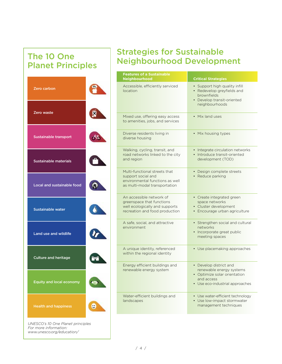## The 10 One Planet Principles

## Strategies for Sustainable Neighbourhood Development

|                                                            |   | <b>Features of a Sustainable</b><br>Neighbourhood                                                                         | <b>Critical Strategies</b>                                                                                                          |
|------------------------------------------------------------|---|---------------------------------------------------------------------------------------------------------------------------|-------------------------------------------------------------------------------------------------------------------------------------|
| Zero carbon                                                |   | Accessible, efficiently serviced<br>location                                                                              | • Support high quality infill<br>• Redevelop greyfields and<br>brownfields<br>• Develop transit-oriented<br>neighbourhoods          |
| Zero waste                                                 |   | Mixed use, offering easy access<br>to amenities, jobs, and services                                                       | • Mix land uses                                                                                                                     |
| Sustainable transport                                      |   | Diverse residents living in<br>diverse housing                                                                            | • Mix housing types                                                                                                                 |
| Sustainable materials                                      |   | Walking, cycling, transit, and<br>road networks linked to the city<br>and region                                          | • Integrate circulation networks<br>· Introduce transit-oriented<br>development (TOD)                                               |
| Local and sustainable food                                 |   | Multi-functional streets that<br>support social and<br>environmental functions as well<br>as multi-modal transportation   | • Design complete streets<br>• Reduce parking                                                                                       |
| <b>Sustainable water</b>                                   |   | An accessible network of<br>greenspace that functions<br>well ecologically and supports<br>recreation and food production | • Create integrated green<br>space networks<br>• Cluster development<br>• Encourage urban agriculture                               |
| Land use and wildlife                                      |   | A safe, social, and attractive<br>environment                                                                             | • Strengthen social and cultural<br>networks<br>• Incorporate great public<br>meeting spaces                                        |
| <b>Culture and heritage</b>                                |   | A unique identity, referenced<br>within the regional identity                                                             | • Use placemaking approaches                                                                                                        |
| <b>Equity and local economy</b>                            |   | Energy efficient buildings and<br>renewable energy system                                                                 | • Develop district and<br>renewable energy systems<br>• Optimize solar orientation<br>and access<br>• Use eco-industrial approaches |
| <b>Health and happiness</b>                                | € | Water-efficient buildings and<br>landscapes                                                                               | • Use water-efficient technology<br>• Use low-impact stormwater<br>management techniques                                            |
| UNESCO's 10 One Planet principles<br>For more information: |   |                                                                                                                           |                                                                                                                                     |

*www.unesco.org/education/*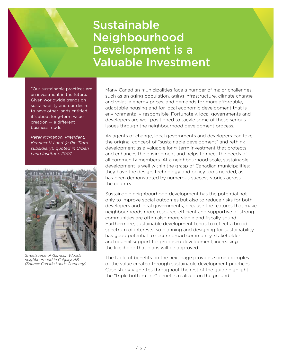## Sustainable Neighbourhood Development is a Valuable Investment

"Our sustainable practices are an investment in the future. Given worldwide trends on sustainability and our desire to have other lands entitled, it's about long-term value creation — a different business model"

*Peter McMahon, President, Kennecott Land (a Rio Tinto subsidiary), quoted in Urban Land Institute, 2007*



*Streetscape of Garrison Woods neighbourhood in Calgary, AB (Source: Canada Lands Company)*

Many Canadian municipalities face a number of major challenges, such as an aging population, aging infrastructure, climate change and volatile energy prices, and demands for more affordable, adaptable housing and for local economic development that is environmentally responsible. Fortunately, local governments and developers are well positioned to tackle some of these serious issues through the neighbourhood development process.

As agents of change, local governments and developers can take the original concept of "sustainable development" and rethink development as a valuable long-term investment that protects and enhances the environment and helps to meet the needs of all community members. At a neighbourhood scale, sustainable development is well within the grasp of Canadian municipalities: they have the design, technology and policy tools needed, as has been demonstrated by numerous success stories across the country.

Sustainable neighbourhood development has the potential not only to improve social outcomes but also to reduce risks for both developers and local governments, because the features that make neighbourhoods more resource-efficient and supportive of strong communities are often also more viable and fiscally sound. Furthermore, sustainable development tends to reflect a broad spectrum of interests, so planning and designing for sustainability has good potential to secure broad community, stakeholder and council support for proposed development, increasing the likelihood that plans will be approved.

The table of benefits on the next page provides some examples of the value created through sustainable development practices. Case study vignettes throughout the rest of the guide highlight the "triple bottom line" benefits realized on the ground.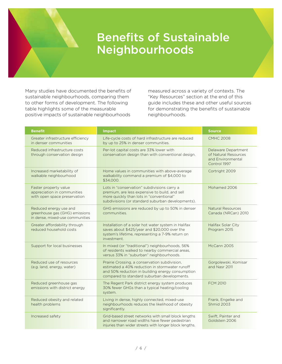## Benefits of Sustainable Neighbourhoods

Many studies have documented the benefits of sustainable neighbourhoods, comparing them to other forms of development. The following table highlights some of the measurable positive impacts of sustainable neighbourhoods

measured across a variety of contexts. The "Key Resources" section at the end of this guide includes these and other useful sources for demonstrating the benefits of sustainable neighbourhoods.

| <b>Benefit</b>                                                                              | <b>Impact</b>                                                                                                                                                                                      | <b>Source</b>                                                                    |
|---------------------------------------------------------------------------------------------|----------------------------------------------------------------------------------------------------------------------------------------------------------------------------------------------------|----------------------------------------------------------------------------------|
| Greater infrastructure efficiency<br>in denser communities                                  | Life-cycle costs of hard infrastructure are reduced<br>by up to 25% in denser communities.                                                                                                         | <b>CMHC 2008</b>                                                                 |
| Reduced infrastructure costs<br>through conservation design                                 | Per-lot capital costs are 33% lower with<br>conservation design than with conventional design.                                                                                                     | Delaware Department<br>of Natural Resources<br>and Environmental<br>Control 1997 |
| Increased marketability of<br>walkable neighbourhood                                        | Home values in communities with above-average<br>walkability command a premium of \$4,000 to<br>\$34,000.                                                                                          | Cortright 2009                                                                   |
| Faster property value<br>appreciation in communities<br>with open space preservation        | Lots in "conservation" subdivisions carry a<br>premium, are less expensive to build, and sell<br>more quickly than lots in "conventional"<br>subdivisions (or standard suburban developments).     | Mohamed 2006                                                                     |
| Reduced energy use and<br>greenhouse gas (GHG) emissions<br>in dense, mixed-use communities | GHG emissions are reduced by up to 50% in denser<br>communities.                                                                                                                                   | <b>Natural Resources</b><br>Canada (NRCan) 2010                                  |
| Greater affordability through<br>reduced household costs                                    | Installation of a solar hot water system in Halifax<br>saves about \$425/year and \$20,000 over the<br>system's lifetime, representing a 7-9% return on<br>investment.                             | Halifax Solar City<br>Program 2015                                               |
| Support for local businesses                                                                | In mixed (or "traditional") neighbourhoods, 56%<br>of residents walked to nearby commercial areas,<br>versus 33% in "suburban" neighbourhoods.                                                     | McCann 2005                                                                      |
| Reduced use of resources<br>(e.g. land, energy, water)                                      | Prairie Crossing, a conservation subdivision,<br>estimated a 40% reduction in stormwater runoff<br>and 50% reduction in building energy consumption<br>compared to standard suburban developments. | Gorgolewski, Komisar<br>and Nasr 2011                                            |
| Reduced greenhouse gas<br>emissions with district energy                                    | The Regent Park district energy system produces<br>30% fewer GHGs than a typical heating/cooling<br>system.                                                                                        | <b>FCM 2010</b>                                                                  |
| Reduced obesity and related<br>health problems                                              | Living in dense, highly connected, mixed-use<br>neighbourhoods reduces the likelihood of obesity<br>significantly.                                                                                 | Frank, Engelke and<br>Shmid 2003                                                 |
| Increased safety                                                                            | Grid-based street networks with small block lengths<br>and narrower road widths have fewer pedestrian<br>injuries than wider streets with longer block lengths.                                    | Swift, Painter and<br>Goldstein 2006                                             |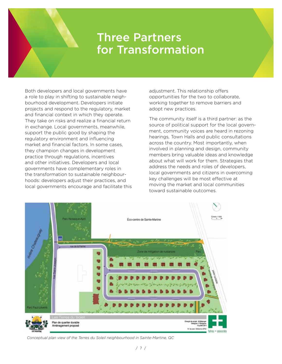## Three Partners for Transformation

Both developers and local governments have a role to play in shifting to sustainable neighbourhood development. Developers initiate projects and respond to the regulatory, market and financial context in which they operate. They take on risks and realize a financial return in exchange. Local governments, meanwhile, support the public good by shaping the regulatory environment and influencing market and financial factors. In some cases, they champion changes in development practice through regulations, incentives and other initiatives. Developers and local governments have complementary roles in the transformation to sustainable neighbourhoods: developers adjust their practices, and local governments encourage and facilitate this adjustment. This relationship offers opportunities for the two to collaborate, working together to remove barriers and adopt new practices.

The community itself is a third partner: as the source of political support for the local government, community voices are heard in rezoning hearings, Town Halls and public consultations across the country. Most importantly, when involved in planning and design, community members bring valuable ideas and knowledge about what will work for them. Strategies that address the needs and roles of developers, local governments and citizens in overcoming key challenges will be most effective at moving the market and local communities toward sustainable outcomes.



*Conceptual plan view of the Terres du Soleil neighbourhood in Sainte-Martine, QC*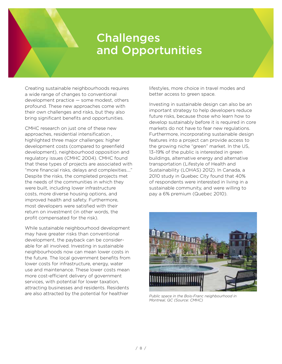## Challenges and Opportunities

Creating sustainable neighbourhoods requires a wide range of changes to conventional development practice — some modest, others profound. These new approaches come with their own challenges and risks, but they also bring significant benefits and opportunities.

CMHC research on just one of these new approaches, residential intensification , highlighted three major challenges: higher development costs (compared to greenfield development), neighbourhood opposition and regulatory issues (CMHC 2004). CMHC found that these types of projects are associated with "more financial risks, delays and complexities…." Despite the risks, the completed projects met the needs of the communities in which they were built, including lower infrastructure costs, more diverse housing options, and improved health and safety. Furthermore, most developers were satisfied with their return on investment (in other words, the profit compensated for the risk).

While sustainable neighbourhood development may have greater risks than conventional development, the payback can be considerable for all involved. Investing in sustainable neighbourhoods now can mean lower costs in the future. The local government benefits from lower costs for infrastructure, energy, water use and maintenance. These lower costs mean more cost-efficient delivery of government services, with potential for lower taxation, attracting businesses and residents. Residents are also attracted by the potential for healthier

lifestyles, more choice in travel modes and better access to green space.

Investing in sustainable design can also be an important strategy to help developers reduce future risks, because those who learn how to develop sustainably before it is required in core markets do not have to fear new regulations. Furthermore, incorporating sustainable design features into a project can provide access to the growing niche "green" market. In the US, 13–19% of the public is interested in green buildings, alternative energy and alternative transportation (Lifestyle of Health and Sustainability (LOHAS) 2012). In Canada, a 2010 study in Quebec City found that 40% of respondents were interested in living in a sustainable community, and were willing to pay a 6% premium (Quebec 2010).



*Public space in the Bois-Franc neighbourhood in Montreal, QC (Source: CMHC)*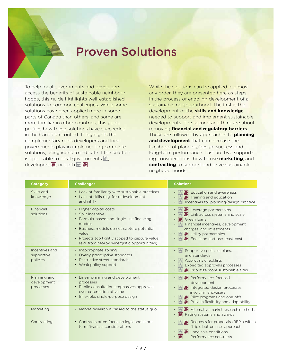## Proven Solutions

To help local governments and developers access the benefits of sustainable neighbourhoods, this guide highlights well-established solutions to common challenges. While some solutions have been applied more in some parts of Canada than others, and some are more familiar in other countries, this guide profiles how these solutions have succeeded in the Canadian context. It highlights the complementary roles developers and local governments play in implementing complete solutions, using icons to indicate if the solution is applicable to local governments  $\frac{d}{d\mathbf{r}}$ , developers  $\bullet$ , or both  $\mathbb{E}$   $\bullet$ .

While the solutions can be applied in almost any order, they are presented here as steps in the process of enabling development of a sustainable neighbourhood. The first is the development of the **skills and knowledge** needed to support and implement sustainable developments. The second and third are about removing **financial and regulatory barriers**. These are followed by approaches to **planning and development** that can increase the likelihood of planning/design success and long-term performance. Last are two supporting considerations: how to use **marketing**, and **contracting** to support and drive sustainable neighbourhoods.

| <b>Category</b>                          | <b>Challenges</b>                                                                                                                                                                                                                                          | <b>Solutions</b>                                                                                                                                                                                                                               |
|------------------------------------------|------------------------------------------------------------------------------------------------------------------------------------------------------------------------------------------------------------------------------------------------------------|------------------------------------------------------------------------------------------------------------------------------------------------------------------------------------------------------------------------------------------------|
| Skills and<br>knowledge                  | • Lack of familiarity with sustainable practices<br>• Lack of skills (e.g. for redevelopment<br>and infill)                                                                                                                                                | Education and awareness<br>Training and education<br>匬<br>Incentives for planning/design practice                                                                                                                                              |
| Financial<br>solutions                   | • Higher capital costs<br>• Split incentive<br>• Formula-based and single-use financing<br>models<br>• Business models do not capture potential<br>value<br>• Projects too tightly scoped to capture value<br>(e.g. from nearby synergistic opportunities) | $\left  \right $ Leverage partnerships<br>$\bullet$<br>Link across systems and scale<br>Green Ioans<br>$\frac{1}{\ln n}$ Financial incentives, development<br>charges, and investments<br>Utility partnerships<br>Focus on end-use, least-cost |
| Incentives and<br>supportive<br>policies | • Inappropriate zoning<br>• Overly prescriptive standards<br>• Restrictive street standards<br>• Weak policy support                                                                                                                                       | $\frac{1}{2}$ Supportive policies, plans,<br>and standards<br>匬<br>Approvals checklists<br>Expedited approvals processes<br>Prioritize more sustainable sites                                                                                  |
| Planning and<br>development<br>processes | • Linear planning and development<br>processes<br>• Public consultation emphasizes approvals<br>over co-creation of value<br>• Inflexible, single-purpose design                                                                                           | Performance-focused<br>development<br>Integrated design processes<br>involving end-users<br>Pilot programs and one-offs<br>Build in flexibility and adaptability                                                                               |
| Marketing                                | • Market research is biased to the status quo                                                                                                                                                                                                              | Alternative market research methods<br>Rating systems and awards                                                                                                                                                                               |
| Contracting                              | • Contracts often focus on legal and short-<br>term financial considerations                                                                                                                                                                               | Requests for proposals (RFPs) with a<br>"triple bottomline" approach<br>Land sale conditions<br>Performance contracts                                                                                                                          |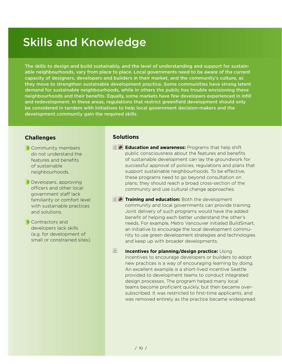## Skills and Knowledge

The skills to design and build sustainably, and the level of understanding and support for sustainable neighbourhoods, vary from place to place. Local governments need to be aware of the current capacity of designers, developers and builders in their market, and the community's culture, as they move to strengthen sustainable development practice. Some communities have strong latent demand for sustainable neighbourhoods, while in others the public has trouble envisioning these neighbourhoods and their benefits. Equally, some markets have few developers experienced in infill and redevelopment. In these areas, regulations that restrict greenfield development should only be considered in tandem with initiatives to help local government decision-makers and the development community gain the required skills.

## **Challenges**

- **Community members** do not understand the features and benefits of sustainable neighbourhoods.
- **Developers, approving** officers and other local government staff lack familiarity or comfort level with sustainable practices and solutions.
- **Contractors and** developers lack skills (e.g. for development of small or constrained sites).

## **Solutions**

- **Education and awareness:** Programs that help shift public consciousness about the features and benefits of sustainable development can lay the groundwork for successful approval of policies, regulations and plans that support sustainable neighbourhoods. To be effective, these programs need to go beyond consultation on plans; they should reach a broad cross-section of the community and use cultural change approaches.
- $\mathbf{F}$  **Training and education:** Both the development community and local governments can provide training. Joint delivery of such programs would have the added benefit of helping each better understand the other's needs. For example, Metro Vancouver initiated BuildSmart, an initiative to encourage the local development community to use green development strategies and technologies and keep up with broader developments.
- 孟 **Incentives for planning/design practice:** Using incentives to encourage developers or builders to adopt new practices is a way of encouraging learning by doing. An excellent example is a short-lived incentive Seattle provided to development teams to conduct integrated design processes. The program helped many local teams become proficient quickly, but then became oversubscribed. It was restricted to first-time applicants, and was removed entirely as the practice became widespread.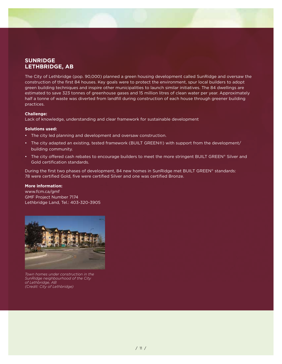## **SUNRIDGE LETHBRIDGE, AB**

The City of Lethbridge (pop. 90,000) planned a green housing development called SunRidge and oversaw the construction of the first 84 houses. Key goals were to protect the environment, spur local builders to adopt green building techniques and inspire other municipalities to launch similar initiatives. The 84 dwellings are estimated to save 323 tonnes of greenhouse gases and 15 million litres of clean water per year. Approximately half a tonne of waste was diverted from landfill during construction of each house through greener building practices.

#### **Challenge:**

Lack of knowledge, understanding and clear framework for sustainable development

#### **Solutions used:**

- The city led planning and development and oversaw construction.
- The city adapted an existing, tested framework (BUILT GREEN®) with support from the development/ building community.
- The city offered cash rebates to encourage builders to meet the more stringent BUILT GREEN® Silver and Gold certification standards.

During the first two phases of development, 84 new homes in SunRidge met BUILT GREEN® standards: 78 were certified Gold, five were certified Silver and one was certified Bronze.

#### **More information:**

www.fcm.ca/gmf GMF Project Number 7174 Lethbridge Land, Tel.: 403-320-3905



*Town homes under construction in the SunRidge neighbourhood of the City of Lethbridge, AB (Credit: City of Lethbridge)*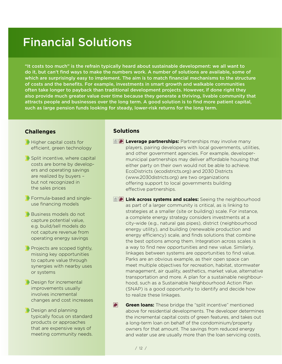## Financial Solutions

"It costs too much" is the refrain typically heard about sustainable development: we all want to do it, but can't find ways to make the numbers work. A number of solutions are available, some of which are surprisingly easy to implement. The aim is to match financial mechanisms to the structure of costs and the benefits. For example, investments in smart growth and walkable communities often take longer to payback than traditional development projects. However, if done right they also provide much greater value over time because they generate a thriving, livable community that attracts people and businesses over the long term. A good solution is to find more patient capital, such as large pension funds looking for steady, lower-risk returns for the long term.

## **Challenges**

- Higher capital costs for efficient, green technology
- Split incentive, where capital costs are borne by developers and operating savings are realized by buyers – but not recognized in the sales prices
- Formula-based and singleuse financing models
- Business models do not capture potential value, e.g. build/sell models do not capture revenue from operating energy savings
- Projects are scoped tightly, missing key opportunities to capture value through synergies with nearby uses or systems
- Design for incremental improvements usually involves incremental changes and cost increases
- **Design and planning** typically focus on standard products or approaches that are expensive ways of meeting community needs.

## **Solutions**

- **Leverage partnerships:** Partnerships may involve many players, pairing developers with local governments, utilities, and other government agencies. For example, developermunicipal partnerships may deliver affordable housing that either party on their own would not be able to achieve. EcoDistricts [\(ecodistricts.org](www.ecodistricts.org)) and 2030 Districts [\(www.2030districts.org](www.2030districts.org)) are two organizations offering support to local governments building effective partnerships.
- **E Link across systems and scales:** Seeing the neighbourhood as part of a larger community is critical, as is linking to strategies at a smaller (site or building) scale. For instance, a complete energy strategy considers investments at a city-wide (e.g., natural gas pipes), district (neighbourhood energy utility), and building (renewable production and energy efficiency) scale, and finds solutions that combine the best options among them. Integration across scales is a way to find new opportunities and new value. Similarly, linkages between systems are opportunities to find value. Parks are an obvious example, as their open space can meet multiple objectives for recreation, habitat, stormwater management, air quality, aesthetics, market value, alternative transportation and more. A plan for a sustainable neighbourhood, such as a Sustainable Neighbourhood Action Plan (SNAP) is a good opportunity to identify and decide how to realize these linkages.
- $\blacktriangleright$ **Green loans:** These bridge the "split incentive" mentioned above for residential developments. The developer determines the incremental capital costs of green features, and takes out a long-term loan on behalf of the condominium/property owners for that amount. The savings from reduced energy and water use are usually more than the loan servicing costs,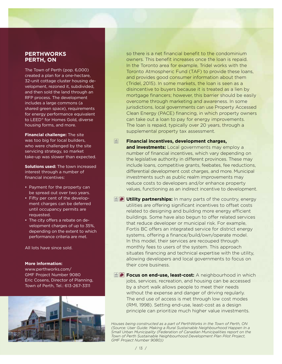### **PERTHWORKS PERTH, ON**

The Town of Perth (pop. 6,000) created a plan for a one-hectare, 32-unit cottage cluster housing development, rezoned it, subdivided, and then sold the land through an RFP process. The development includes a large commons (a shared green space), requirements for energy performance equivalent to LEED® for Homes Gold, diverse housing forms, and more.

**Financial challenge:** The site was too big for local builders, who were challenged by the site servicing strategy, so market take-up was slower than expected.

**Solutions used:** The town increased interest through a number of financial incentives:

- Payment for the property can be spread out over two years.
- Fifty per cent of the development charges can be deferred until occupancy permits are requested.
- The city offers a rebate on development charges of up to 35%, depending on the extent to which performance criteria are met.

All lots have since sold.

#### **More information:**

www.perthworks.com/ GMF Project Number 9080 Eric Cosens, Director of Planning, Town of Perth, Tel.: 613-267-3311



so there is a net financial benefit to the condominium owners. This benefit increases once the loan is repaid. In the Toronto area for example, Tridel works with the Toronto Atmospheric Fund (TAF) to provide these loans, and provides good consumer information about them (Tridel, 2015). In some markets, the loan is seen as a disincentive to buyers because it is treated as a lien by mortgage financers; however, this barrier should be easily overcome through marketing and awareness. In some jurisdictions, local governments can use Property Accessed Clean Energy (PACE) financing, in which property owners can take out a loan to pay for energy improvements. The loan is repaid, typically over 20 years, through a supplemental property tax assessment.

- 圖 **Financial incentives, development charges, and investments:** Local governments may employ a number of financial incentives, which vary depending on the legislative authority in different provinces. These may include loans, competitive grants, feebates, fee reductions, differential development cost charges, and more. Municipal investments such as public realm improvements may reduce costs to developers and/or enhance property values, functioning as an indirect incentive to development.
- **ID** Utility partnerships: In many parts of the country, energy utilities are offering significant incentives to offset costs related to designing and building more energy efficient buildings. Some have also begun to offer related services that reduce developer or municipal risk. For example, Fortis BC offers an integrated service for district energy systems, offering a finance/build/own/operate model. In this model, their services are recouped through monthly fees to users of the system. This approach situates financing and technical expertise with the utility, allowing developers and local governments to focus on their core business.
- **Focus on end-use, least-cost:** A neighbourhood in which jobs, services, recreation, and housing can be accessed by a short walk allows people to meet their needs without the expense and danger of driving regularly. The end use of access is met through low cost modes (RMI, 1998). Setting end-use, least-cost as a design principle can prioritize much higher value investments.

*Houses being constructed as a part of PerthWorks in the Town of Perth, ON (Source: User Guide: Making a Rural Sustainable Neighbourhood Happen In a Small Urban Municipality (Federation of Canadian Municipalities report on the Town of Perth Sustainable Neighbourhood Development Plan Pilot Project, GMF Project Number 9080))*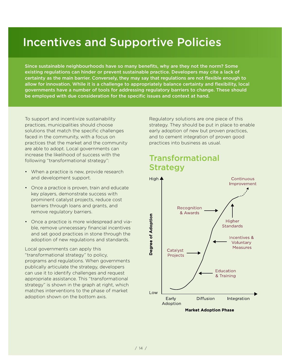## Incentives and Supportive Policies

Since sustainable neighbourhoods have so many benefits, why are they not the norm? Some existing regulations can hinder or prevent sustainable practice. Developers may cite a lack of certainty as the main barrier. Conversely, they may say that regulations are not flexible enough to allow for innovation. While it is a challenge to appropriately balance certainty and flexibility, local governments have a number of tools for addressing regulatory barriers to change. These should be employed with due consideration for the specific issues and context at hand.

To support and incentivize sustainability practices, municipalities should choose solutions that match the specific challenges faced in the community, with a focus on practices that the market and the community are able to adopt. Local governments can increase the likelihood of success with the following "transformational strategy":

- When a practice is new, provide research and development support.
- Once a practice is proven, train and educate key players, demonstrate success with prominent catalyst projects, reduce cost barriers through loans and grants, and remove regulatory barriers.
- Once a practice is more widespread and viable, remove unnecessary financial incentives and set good practices in stone through the adoption of new regulations and standards.

Local governments can apply this "transformational strategy" to policy, programs and regulations. When governments publically articulate the strategy, developers can use it to identify challenges and request appropriate assistance. This "transformational strategy" is shown in the graph at right, which matches interventions to the phase of market adoption shown on the bottom axis.

Regulatory solutions are one piece of this strategy. They should be put in place to enable early adoption of new but proven practices, and to cement integration of proven good practices into business as usual.

## Transformational Strategy

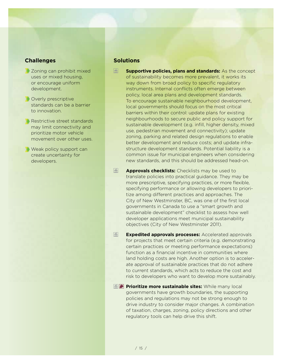### **Challenges**

- **Zoning can prohibit mixed** uses or mixed housing, or encourage uniform development.
- **Overly prescriptive** standards can be a barrier to innovation.
- Restrictive street standards may limit connectivity and prioritize motor vehicle movement over other uses.
- Weak policy support can create uncertainty for developers.

## **Solutions**

- 匬 **Supportive policies, plans and standards:** As the concept of sustainability becomes more prevalent, it works its way down from broad policy to specific regulatory instruments. Internal conflicts often emerge between policy, local area plans and development standards. To encourage sustainable neighbourhood development, local governments should focus on the most critical barriers within their control: update plans for existing neighbourhoods to secure public and policy support for sustainable development (e.g. infill, higher density, mixed use, pedestrian movement and connectivity); update zoning, parking and related design regulations to enable better development and reduce costs; and update infrastructure development standards. Potential liability is a common issue for municipal engineers when considering new standards, and this should be addressed head-on.
- 孟 **Approvals checklists:** Checklists may be used to translate policies into practical guidance. They may be more prescriptive, specifying practices, or more flexible, specifying performance or allowing developers to prioritize among different practices and approaches. The City of New Westminster, BC, was one of the first local governments in Canada to use a "smart growth and sustainable development" checklist to assess how well developer applications meet municipal sustainability objectives (City of New Westminster 2011).
- $\frac{1}{2}$ **Expedited approvals processes:** Accelerated approvals for projects that meet certain criteria (e.g. demonstrating certain practices or meeting performance expectations) function as a financial incentive in communities where land holding costs are high. Another option is to accelerate approval of sustainable practices that do not adhere to current standards, which acts to reduce the cost and risk to developers who want to develop more sustainably.
- **Prioritize more sustainable sites:** While many local governments have growth boundaries, the supporting policies and regulations may not be strong enough to drive industry to consider major changes. A combination of taxation, charges, zoning, policy directions and other regulatory tools can help drive this shift.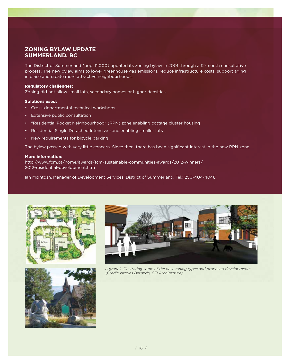## **ZONING BYLAW UPDATE SUMMERLAND, BC**

The District of Summerland (pop. 11,000) updated its zoning bylaw in 2001 through a 12-month consultative process. The new bylaw aims to lower greenhouse gas emissions, reduce infrastructure costs, support aging in place and create more attractive neighbourhoods.

#### **Regulatory challenges:**

Zoning did not allow small lots, secondary homes or higher densities.

#### **Solutions used:**

- Cross-departmental technical workshops
- Extensive public consultation
- "Residential Pocket Neighbourhood" (RPN) zone enabling cottage cluster housing
- Residential Single Detached Intensive zone enabling smaller lots
- New requirements for bicycle parking

The bylaw passed with very little concern. Since then, there has been significant interest in the new RPN zone.

#### **More information:**

[http://www.fcm.ca/home/awards/fcm-sustainable-communities-awards/2012-winners/](http://www.fcm.ca/home/awards/fcm-sustainable-communities-awards/2012-winners/2012-residential-development.htm)  [2012-residential-development.htm](http://www.fcm.ca/home/awards/fcm-sustainable-communities-awards/2012-winners/2012-residential-development.htm)

Ian McIntosh, Manager of Development Services, District of Summerland, Tel.: 250-404-4048







*A graphic illustrating some of the new zoning types and proposed developments (Credit: Nicolas Bevanda, CEI Architecture)*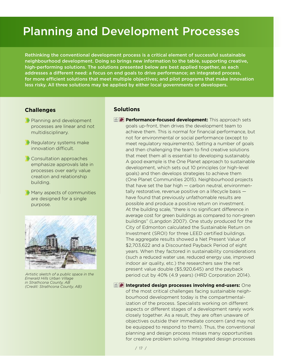## Planning and Development Processes

Rethinking the conventional development process is a critical element of successful sustainable neighbourhood development. Doing so brings new information to the table, supporting creative, high-performing solutions. The solutions presented below are best applied together, as each addresses a different need: a focus on end goals to drive performance; an integrated process, for more efficient solutions that meet multiple objectives; and pilot programs that make innovation less risky. All three solutions may be applied by either local governments or developers.

### **Challenges**

- **Planning and development** processes are linear and not multidisciplinary.
- **Regulatory systems make** innovation difficult.
- **Consultation approaches** emphasize approvals late in processes over early value creation and relationship building.
- **Many aspects of communities** are designed for a single purpose.



*Artistic sketch of a public space in the Emerald Hills Urban Village in Strathcona County, AB (Credit: Strathcona County, AB)*

### **Solutions**

**Follow Performance-focused development:** This approach sets goals up-front, then drives the development team to achieve them. This is normal for financial performance, but not for environmental or social performance (except to meet regulatory requirements). Setting a number of goals and then challenging the team to find creative solutions that meet them all is essential to developing sustainably. A good example is the One Planet approach to sustainable development, which sets out 10 principles (or high-level goals) and then develops strategies to achieve them (One Planet Communities 2015). Neighbourhood projects that have set the bar high — carbon neutral, environmentally restorative, revenue positive on a lifecycle basis have found that previously unfathomable results are possible and produce a positive return on investment. At the building scale, "there is no significant difference in average cost for green buildings as compared to non-green buildings" (Langdon 2007). One study produced for the City of Edmonton calculated the Sustainable Return on Investment (SROI) for three LEED certified buildings. The aggregate results showed a Net Present Value of \$2,703,622 and a Discounted Payback Period of eight years. When they factored in sustainability considerations (such a reduced water use, reduced energy use, improved indoor air quality, etc.) the researchers saw the net present value double (\$5,920,645) and the payback period cut by 40% (4.9 years) (HRD Corporation 2014).

**Integrated design processes involving end-users:** One of the most critical challenges facing sustainable neighbourhood development today is the compartmentalization of the process. Specialists working on different aspects or different stages of a development rarely work closely together. As a result, they are often unaware of objectives outside their immediate concern (and may not be equipped to respond to them). Thus, the conventional planning and design process misses many opportunities for creative problem solving. Integrated design processes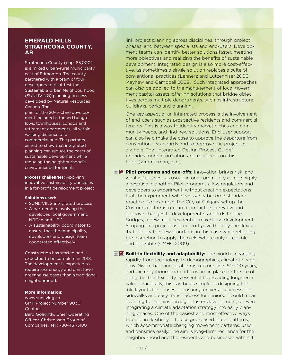### **EMERALD HILLS STRATHCONA COUNTY, AB**

Strathcona County (pop. 85,000) is a mixed urban–rural municipality east of Edmonton. The county partnered with a team of four developers to pilot test the Sustainable Urban Neighbourhood (SUNLIVING) planning process developed by Natural Resources Canada. The

plan for the 20-hectare development included attached bungalows, townhouses, condos and retirement apartments, all within walking distance of a commercial hub. The partners aimed to show that integrated planning can reduce the costs of sustainable development while reducing the neighbourhood's environmental footprint.

**Process challenges:** Applying innovative sustainability principles in a for-profit development project

#### **Solutions used:**

- SUNLIVING integrated process
- A partnership involving the developer, local government, NRCan and UBC
- A sustainability coordinator to ensure that the municipality, developers and design team cooperated effectively

Construction has started and is expected to be complete in 2018. The development is expected to require less energy and emit fewer greenhouse gases than a traditional neighbourhood.

#### **More information:**

www.sunliving.ca GMF Project Number 9030 Contact: Bard Golightly, Chief Operating Officer, Christenson Group of Companies, Tel.: 780-431-5180

link project planning across disciplines, through project phases, and between specialists and end-users. Development teams can identify better solutions faster, meeting more objectives and realizing the benefits of sustainable development. Integrated design is also more cost-effective, as sometimes a single solution replaces a suite of conventional practices (Lennerz and Lutzenhiser 2006; Mayhew and Campbell 2009). Such integrated approaches can also be applied to the management of local government capital assets, offering solutions that bridge objectives across multiple departments, such as infrastructure, buildings, parks and planning.

One key aspect of an integrated process is the involvement of end-users such as prospective residents and commercial tenants. This is a way to identify market niches and community needs, and find new solutions. End-user support can also help make the case to approve the departure from conventional standards and to approve the project as a whole. The "Integrated Design Process Guide" provides more information and resources on this topic (Zimmerman, n.d.).

**Pilot programs and one-offs:** Innovation brings risk, and what is "business as usual" in one community can be highly innovative in another. Pilot programs allow regulators and developers to experiment, without creating expectations that the experiment will necessarily become standard practice. For example, the City of Calgary set up the Customized Infrastructure Committee to review and approve changes to development standards for the Bridges, a new multi-residential, mixed-use development. Scoping this project as a one-off gave the city the flexibility to apply the new standards in this case while retaining the discretion to apply them elsewhere only if feasible and desirable (CMHC 2009).

**E Built-in flexibility and adaptability:** The world is changing rapidly, from technology to demographics, climate to economy. Given that municipal infrastructure lasts 50–100 years, and the neighbourhood patterns are in place for the life of a city, built-in flexibility is essential to providing long-term value. Practically, this can be as simple as designing flexible layouts for houses or ensuring universally accessible sidewalks and easy transit access for seniors. It could mean avoiding floodplains through cluster development, or even integrating a climate adaptation strategy into early planning phases. One of the easiest and most effective ways to build in flexibility is to use grid-based street patterns, which accommodate changing movement patterns, uses and densities easily. The aim is long-term resilience for the neighbourhood and the residents and businesses within it.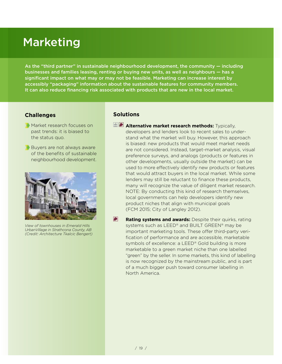## Marketing

As the "third partner" in sustainable neighbourhood development, the community — including businesses and families leasing, renting or buying new units, as well as neighbours - has a significant impact on what may or may not be feasible. Marketing can increase interest by accessibly "packaging" information about the sustainable features for community members. It can also reduce financing risk associated with products that are new in the local market.

### **Challenges**

- **Market research focuses on** past trends: it is biased to the status quo.
- **Buyers are not always aware** of the benefits of sustainable neighbourhood development.



*View of townhouses in Emerald Hills UrbanVillage in Strathcona County, AB (Credit: Architecture Tkalcic Bengert)*

### **Solutions**

- **Alternative market research methods:** Typically, developers and lenders look to recent sales to understand what the market will buy. However, this approach is biased: new products that would meet market needs are not considered. Instead, target-market analysis, visual preference surveys, and analogs (products or features in other developments, usually outside the market) can be used to more effectively identify new products or features that would attract buyers in the local market. While some lenders may still be reluctant to finance these products, many will recognize the value of diligent market research. NOTE: By conducting this kind of research themselves, local governments can help developers identify new product niches that align with municipal goals (FCM 2015; City of Langley 2012).
- $\blacktriangleright$ **Rating systems and awards:** Despite their quirks, rating systems such as LEED<sup>®</sup> and BUILT GREEN<sup>®</sup> may be important marketing tools. These offer third-party verification of performance and are accessible, marketable symbols of excellence: a LEED<sup>®</sup> Gold building is more marketable to a green market niche than one labelled "green" by the seller. In some markets, this kind of labelling is now recognized by the mainstream public, and is part of a much bigger push toward consumer labelling in North America.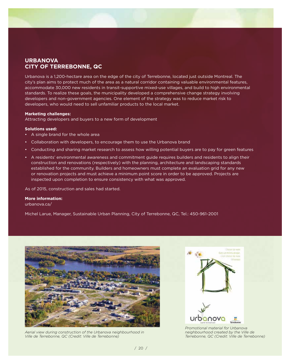## **URBANOVA CITY OF TERREBONNE, QC**

Urbanova is a 1,200-hectare area on the edge of the city of Terrebonne, located just outside Montreal. The city's plan aims to protect much of the area as a natural corridor containing valuable environmental features, accommodate 30,000 new residents in transit-supportive mixed-use villages, and build to high environmental standards. To realize these goals, the municipality developed a comprehensive change strategy involving developers and non-government agencies. One element of the strategy was to reduce market risk to developers, who would need to sell unfamiliar products to the local market.

#### **Marketing challenges:**

Attracting developers and buyers to a new form of development

#### **Solutions used:**

- A single brand for the whole area
- Collaboration with developers, to encourage them to use the Urbanova brand
- Conducting and sharing market research to assess how willing potential buyers are to pay for green features
- A residents' environmental awareness and commitment guide requires builders and residents to align their construction and renovations (respectively) with the planning, architecture and landscaping standards established for the community. Builders and homeowners must complete an evaluation grid for any new or renovation projects and must achieve a minimum point score in order to be approved. Projects are inspected upon completion to ensure consistency with what was approved.

As of 2015, construction and sales had started.

#### **More information:**

urbanova.ca/

Michel Larue, Manager, Sustainable Urban Planning, City of Terrebonne, QC, Tel.: 450-961-2001



*Aerial view during construction of the Urbanova neighbourhood in Ville de Terrebonne, QC (Credit: Ville de Terrebonne)*



*Promotional material for Urbanova neighbourhood created by the Ville de Terrebonne, QC (Credit: Ville de Terrebonne)*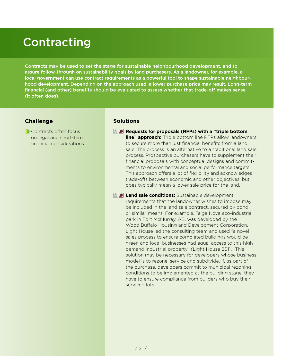## Contracting

Contracts may be used to set the stage for sustainable neighbourhood development, and to assure follow-through on sustainability goals by land purchasers. As a landowner, for example, a local government can use contract requirements as a powerful tool to shape sustainable neighbourhood development. Depending on the approach used, a lower purchase price may result. Long-term financial (and other) benefits should be evaluated to assess whether that trade-off makes sense (it often does).

## **Challenge**

Contracts often focus on legal and short-term financial considerations.

### **Solutions**

- **E P** Requests for proposals (RFPs) with a "triple bottom **line" approach:** Triple bottom line RFPs allow landowners to secure more than just financial benefits from a land sale. The process is an alternative to a traditional land sale process. Prospective purchasers have to supplement their financial proposals with conceptual designs and commitments to environmental and social performance targets. This approach offers a lot of flexibility and acknowledges trade-offs between economic and other objectives, but does typically mean a lower sale price for the land.
- **Land sale conditions:** Sustainable development requirements that the landowner wishes to impose may be included in the land sale contract, secured by bond or similar means. For example, Taiga Nova eco-industrial park in Fort McMurray, AB, was developed by the Wood Buffalo Housing and Development Corporation. Light House led the consulting team and used "a novel sales process to ensure completed buildings would be green and local businesses had equal access to this high demand industrial property" (Light House 2011). This solution may be necessary for developers whose business model is to rezone, service and subdivide. If, as part of the purchase, developers commit to municipal rezoning conditions to be implemented at the building stage, they have to ensure compliance from builders who buy their serviced lots.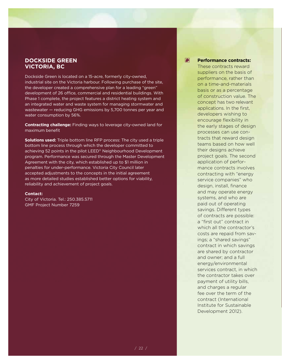### **DOCKSIDE GREEN VICTORIA, BC**

Dockside Green is located on a 15-acre, formerly city-owned, industrial site on the Victoria harbour. Following purchase of the site, the developer created a comprehensive plan for a leading "green" development of 26 office, commercial and residential buildings. With Phase 1 complete, the project features a district heating system and an integrated water and waste system for managing stormwater and wastewater — reducing GHG emissions by 5,700 tonnes per year and water consumption by 56%.

**Contracting challenge:** Finding ways to leverage city-owned land for maximum benefit

**Solutions used:** Triple bottom line RFP process: The city used a triple bottom line process through which the developer committed to achieving 52 points in the pilot LEED® Neighbourhood Development program. Performance was secured through the Master Development Agreement with the city, which established up to \$1 million in penalties for under-performance. Victoria City Council later accepted adjustments to the concepts in the initial agreement as more detailed studies established better options for viability, reliability and achievement of project goals.

#### **Contact:**

City of Victoria. Tel.: 250.385.5711 GMF Project Number 7259

### **Performance contracts:**

G

These contracts reward suppliers on the basis of performance, rather than on a time-and-materials basis or as a percentage of construction value. The concept has two relevant applications. In the first, developers wishing to encourage flexibility in the early stages of design processes can use contracts that reward design teams based on how well their designs achieve project goals. The second application of performance contracts involves contracting with "energy service companies" who design, install, finance and may operate energy systems, and who are paid out of operating savings. Different types of contracts are possible: a "first out" contract in which all the contractor's costs are repaid from savings; a "shared savings" contract in which savings are shared by contractor and owner; and a full energy/environmental services contract, in which the contractor takes over payment of utility bills, and charges a regular fee over the term of the contract (International Institute for Sustainable Development 2012).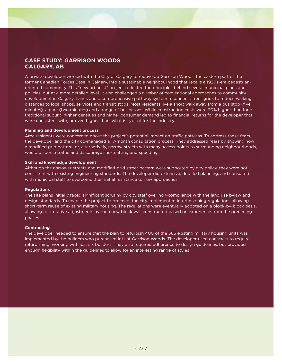## **CASE STUDY: GARRISON WOODS CALGARY, AB**

A private developer worked with the City of Calgary to redevelop Garrison Woods, the eastern part of the former Canadian Forces Base in Calgary, into a sustainable neighbourhood that recalls a 1920s-era pedestrianoriented community. This "new urbanist" project reflected the principles behind several municipal plans and policies, but at a more detailed level. It also challenged a number of conventional approaches to community development in Calgary. Lanes and a comprehensive pathway system reconnect street grids to reduce walking distances to local shops, services and transit stops. Most residents live a short walk away from a bus stop (five minutes), a park (two minutes) and a range of businesses. While construction costs were 30% higher than for a traditional suburb, higher densities and higher consumer demand led to financial returns for the developer that were consistent with, or even higher than, what is typical for the industry.

#### **Planning and development process**

Area residents were concerned about the project's potential impact on traffic patterns. To address these fears, the developer and the city co-managed a 17-month consultation process. They addressed fears by showing how a modified grid pattern, or, alternatively, narrow streets with many access points to surrounding neighbourhoods, would disperse traffic and discourage shortcutting and speeding.

#### **Skill and knowledge development**

Although the narrower streets and modified-grid street pattern were supported by city policy, they were not consistent with existing engineering standards. The developer did extensive, detailed planning, and consulted with municipal staff to overcome their initial resistance to new approaches.

#### **Regulations**

The site plans initially faced significant scrutiny by city staff over non-compliance with the land use bylaw and design standards. To enable the project to proceed, the city implemented interim zoning regulations allowing short-term reuse of existing military housing. The regulations were eventually adopted on a block-by-block basis, allowing for iterative adjustments as each new block was constructed based on experience from the preceding phases.

#### **Contracting**

The developer needed to ensure that the plan to refurbish 400 of the 565 existing military housing units was implemented by the builders who purchased lots at Garrison Woods. The developer used contracts to require refurbishing, working with just six builders. They also required adherence to design guidelines, but provided enough flexibility within the guidelines to allow for an interesting range of styles.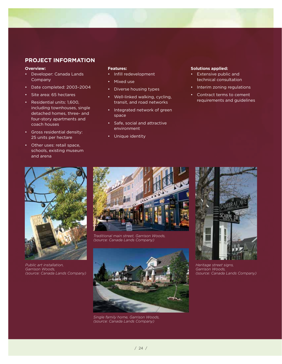## **PROJECT INFORMATION**

#### **Overview:**

- Developer: Canada Lands Company
- Date completed: 2003–2004
- Site area: 65 hectares
- Residential units: 1,600, including townhouses, single detached homes, three- and four-story apartments and coach houses
- Gross residential density: 25 units per hectare
- Other uses: retail space, schools, existing museum and arena

#### **Features:**

- Infill redevelopment
- Mixed use
- Diverse housing types
- Well-linked walking, cycling, transit, and road networks
- Integrated network of green space
- Safe, social and attractive environment
- Unique identity

#### **Solutions applied:**

- Extensive public and technical consultation
- Interim zoning regulations
- Contract terms to cement requirements and guidelines



*Public art installation, Garrison Woods, (source: Canada Lands Company)*



*Traditional main street, Garrison Woods, (source: Canada Lands Company)*



*Single family home, Garrison Woods, (source: Canada Lands Company)*



*Heritage street signs, Garrison Woods, (source: Canada Lands Company)*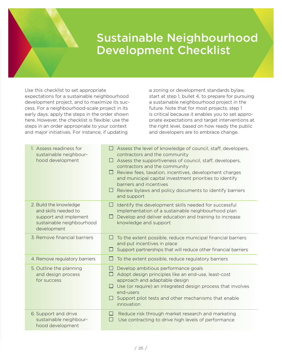## Sustainable Neighbourhood Development Checklist

Use this checklist to set appropriate expectations for a sustainable neighbourhood development project, and to maximize its success. For a neighbourhood-scale project in its early days, apply the steps in the order shown here. However, the checklist is flexible: use the steps in an order appropriate to your context and major initiatives. For instance, if updating

a zoning or development standards bylaw, start at step 1, bullet 4, to prepare for pursuing a sustainable neighbourhood project in the future. Note that for most projects, step 1 is critical because it enables you to set appropriate expectations and target interventions at the right level, based on how ready the public and developers are to embrace change.

| 1. Assess readiness for<br>sustainable neighbour-<br>hood development                                               | $\Box$ Assess the level of knowledge of council, staff, developers,<br>contractors and the community<br>$\Box$ Assess the supportiveness of council, staff, developers,<br>contractors and the community<br>$\Box$ Review fees, taxation, incentives, development charges<br>and municipal capital investment priorities to identify<br>barriers and incentives<br>$\Box$ Review bylaws and policy documents to identify barriers<br>and support |
|---------------------------------------------------------------------------------------------------------------------|--------------------------------------------------------------------------------------------------------------------------------------------------------------------------------------------------------------------------------------------------------------------------------------------------------------------------------------------------------------------------------------------------------------------------------------------------|
| 2. Build the knowledge<br>and skills needed to<br>support and implement<br>sustainable neighbourhood<br>development | Identify the development skills needed for successful<br>$\Box$<br>implementation of a sustainable neighbourhood plan<br>$\Box$ Develop and deliver education and training to increase<br>knowledge and support                                                                                                                                                                                                                                  |
| 3. Remove financial barriers                                                                                        | To the extent possible, reduce municipal financial barriers<br>H<br>and put incentives in place<br>Support partnerships that will reduce other financial barriers<br>$\Box$                                                                                                                                                                                                                                                                      |
| 4. Remove regulatory barriers                                                                                       | To the extent possible, reduce regulatory barriers                                                                                                                                                                                                                                                                                                                                                                                               |
| 5. Outline the planning<br>and design process<br>for success                                                        | $\Box$ Develop ambitious performance goals<br>Adopt design principles like an end-use, least-cost<br>approach and adaptable design<br>$\Box$ Use (or require) an integrated design process that involves<br>end-users<br>Support pilot tests and other mechanisms that enable<br>innovation                                                                                                                                                      |
| 6. Support and drive<br>sustainable neighbour-<br>hood development                                                  | Reduce risk through market research and marketing<br>$\Box$<br>Use contracting to drive high levels of performance<br>$\Box$                                                                                                                                                                                                                                                                                                                     |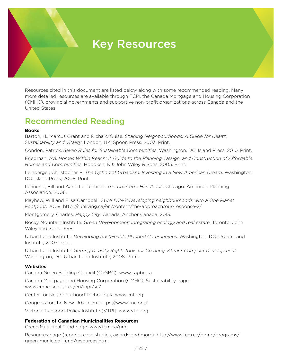## Key Resources

Resources cited in this document are listed below along with some recommended reading. Many more detailed resources are available through FCM, the Canada Mortgage and Housing Corporation (CMHC), provincial governments and supportive non-profit organizations across Canada and the United States.

## Recommended Reading

### **Books**

Barton, H., Marcus Grant and Richard Guise. *Shaping Neighbourhoods: A Guide for Health, Sustainability and Vitality*. London, UK: Spoon Press, 2003. Print.

Condon, Patrick. *Seven Rules for Sustainable Communities*. Washington, DC: Island Press, 2010. Print.

Friedman, Avi. *Homes Within Reach: A Guide to the Planning, Design, and Construction of Affordable Homes and Communities*. Hoboken, NJ: John Wiley & Sons, 2005. Print.

Leinberger, Christopher B. *The Option of Urbanism: Investing in a New American Dream*. Washington, DC: Island Press, 2008. Print.

Lennertz, Bill and Aarin Lutzenhiser. *The Charrette Handbook*. Chicago: American Planning Association, 2006.

Mayhew, Will and Elisa Campbell. *SUNLIVING: Developing neighbourhoods with a One Planet Footprint*. 2009.<http://sunliving.ca/en/content/the-approach/our-response-2/>

Montgomery, Charles. *Happy City.* Canada: Anchor Canada, 2013.

Rocky Mountain Institute. *Green Development: Integrating ecology and real estate*. Toronto: John Wiley and Sons, 1998.

Urban Land Institute. *Developing Sustainable Planned Communities*. Washington, DC: Urban Land Institute, 2007. Print.

Urban Land Institute. *Getting Density Right: Tools for Creating Vibrant Compact Development*. Washington, DC: Urban Land Institute, 2008. Print.

### **Websites**

Canada Green Building Council (CaGBC): www.cagbc.ca

Canada Mortgage and Housing Corporation (CMHC), Sustainability page: www.cmhc-schl.gc.ca/en/inpr/su/

Center for Neighbourhood Technology: www.cnt.org

Congress for the New Urbanism: https://www.cnu.org/

Victoria Transport Policy Institute (VTPI): www.vtpi.org

### **Federation of Canadian Municipalities Resources**

Green Municipal Fund page: www.fcm.ca/gmf

Resources page (reports, case studies, awards and more): [http://www.fcm.ca/home/programs/](http://www.fcm.ca/home/programs/green-municipal-fund/resources.htm)  [green-municipal-fund/resources.htm](http://www.fcm.ca/home/programs/green-municipal-fund/resources.htm)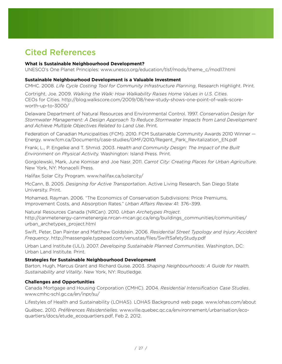## Cited References

### **What is Sustainable Neighbourhood Development?**

UNESCO's One Planet Principles: [www.unesco.org/education/tlsf/mods/theme\\_c/mod17.html](http://www.unesco.org/education/tlsf/mods/theme_c/mod17.html ) 

### **Sustainable Neighbourhood Development is a Valuable Investment**

CMHC. 2008. *Life Cycle Costing Tool for Community Infrastructure Planning*, Research Highlight. Print.

Cortright, Joe. 2009. *Walking the Walk: How Walkability Raises Home Values in U.S. Cities*. CEOs for Cities. [http://blog.walkscore.com/2009/08/new-study-shows-one-point-of-walk-score](http://blog.walkscore.com/2009/08/new-study-shows-one-point-of-walk-score-worth-up-to-3000/ )[worth-up-to-3000/](http://blog.walkscore.com/2009/08/new-study-shows-one-point-of-walk-score-worth-up-to-3000/ ) 

Delaware Department of Natural Resources and Environmental Control. 1997. *Conservation Design for Stormwater Management: A Design Approach To Reduce Stormwater Impacts from Land Development and Achieve Multiple Objectives Related to Land Use*. Print.

Federation of Canadian Municipalities (FCM). 2010. FCM Sustainable Community Awards 2010 Winner — Energy. [www.fcm.ca/Documents/case-studies/GMF/2010/Regent\\_Park\\_Revitalization\\_EN.pdf](http://www.fcm.ca/Documents/case-studies/GMF/2010/Regent_Park_Revitalization_EN.pdf)

Frank, L., P. Engelke and T. Shmid. 2003. *Health and Community Design: The Impact of the Built Environment on Physical Activit*y. Washington: Island Press. Print.

Gorgolewski, Mark, June Komisar and Joe Nasr. 2011. *Carrot City: Creating Places for Urban Agriculture*. New York, NY: Monacelli Press.

Halifax Solar City Program. www.halifax.ca/solarcity/

McCann, B. 2005. *Designing for Active Transportation*. Active Living Research, San Diego State University. Print.

Mohamed, Rayman. 2006. "The Economics of Conservation Subdivisions: Price Premiums, Improvement Costs, and Absorption Rates." *Urban Affairs Review* 41: 376–399.

Natural Resources Canada (NRCan). 2010. *Urban Archetypes Project*. [http://canmetenergy-canmetenergie.nrcan-rncan.gc.ca/eng/buildings\\_communities/communities/](http://canmetenergy-canmetenergie.nrcan-rncan.gc.ca/eng/buildings_communities/communities/urban_archetypes_project.html)  [urban\\_archetypes\\_project.html](http://canmetenergy-canmetenergie.nrcan-rncan.gc.ca/eng/buildings_communities/communities/urban_archetypes_project.html)

Swift, Peter, Dan Painter and Matthew Goldstein. 2006. *Residential Street Typology and Injury Accident Frequency*. http://massengale.typepad.com/venustas/files/SwiftSafetyStudy.pdf

Urban Land Institute (ULI). 2007. *Developing Sustainable Planned Communities*. Washington, DC: Urban Land Institute. Print.

### **Strategies for Sustainable Neighbourhood Development**

Barton, Hugh, Marcus Grant and Richard Guise. 2003. *Shaping Neighbourhoods: A Guide for Health, Sustainability and Vitality*. New York, NY: Routledge.

### **Challenges and Opportunities**

Canada Mortgage and Housing Corporation (CMHC). 2004. *Residential Intensification Case Studies*. www.cmhc-schl.gc.ca/en/inpr/su/

Lifestyles of Health and Sustainability (LOHAS). LOHAS Background web page. www.lohas.com/about

Québec. 2010. *Préférences Résidentielles.* [www.ville.quebec.qc.ca/environnement/urbanisation/eco](http://www.ville.quebec.qc.ca/environnement/urbanisation/ecoquartiers/docs/etude_ecoquartiers.pdf, Feb 2, 2012)[quartiers/docs/etude\\_ecoquartiers.pdf, Feb 2, 2012](http://www.ville.quebec.qc.ca/environnement/urbanisation/ecoquartiers/docs/etude_ecoquartiers.pdf, Feb 2, 2012).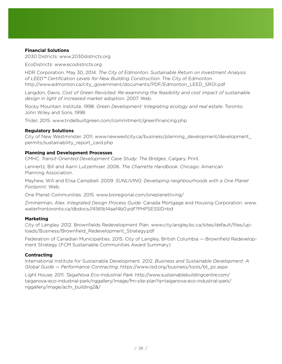### **Financial Solutions**

2030 Districts: www.2030districts.org

EcoDistricts: www.ecodistricts.org

HDR Corporation. May 30, 2014. *The City of Edmonton: Sustainable Return on Investment Analysis of LEED™ Certification Levels for New Building Construction*. The City of Edmonton. http://www.edmonton.ca/city\_government/documents/PDF/Edmonton\_LEED\_SROI.pdf

Langdon, Davis. *Cost of Green Revisited: Re-examining the feasibility and cost impact of sustainable design in light of increased market adoption*. 2007. Web.

Rocky Mountain Institute. 1998. *Green Development: Integrating ecology and real estate*. Toronto: John Wiley and Sons, 1998.

Tridel, 2015. [www.tridelbuiltgreen.com/commitment/greenfinancing.php](http://www.tridelbuiltgreen.com/commitment/greenfinancing.php )

### **Regulatory Solutions**

City of New Westminster. 2011. [www.newwestcity.ca/business/planning\\_development/development\\_](http://www.newwestcity.ca/business/planning_development/development_permits/sustainability_report_card.php ) [permits/sustainability\\_report\\_card.php](http://www.newwestcity.ca/business/planning_development/development_permits/sustainability_report_card.php ) 

### **Planning and Development Processes**

CMHC. *Transit-Oriented Development Case Study: The Bridges*, Calgary. Print.

Lennertz, Bill and Aarin Lutzenhiser. 2006. *The Charrette Handbook*. Chicago: American Planning Association.

Mayhew, Will and Elisa Campbell. 2009. *SUNLIVING: Developing neighbourhoods with a One Planet Footprint*. Web.

One Planet Communities. 2015. www.bioregional.com/oneplanetliving/

Zimmerman, Alex. *Integrated Design Process Guide*. Canada Mortgage and Housing Corporation. [www.](http://www.waterfrontoronto.ca/dbdocs//4561b14aaf4b0.pdf?PHPSESSID=bd) [waterfrontoronto.ca/dbdocs//4561b14aaf4b0.pdf?PHPSESSID=bd](http://www.waterfrontoronto.ca/dbdocs//4561b14aaf4b0.pdf?PHPSESSID=bd)

### **Marketing**

City of Langley. 2012. Brownfields Redevelopment Plan. [www.city.langley.bc.ca/sites/default/files/up](http://www.city.langley.bc.ca/sites/default/files/uploads/Business/Brownfield_Redevelopment_Strategy.pdf)[loads/Business/Brownfield\\_Redevelopment\\_Strategy.pdf](http://www.city.langley.bc.ca/sites/default/files/uploads/Business/Brownfield_Redevelopment_Strategy.pdf)

Federation of Canadian Municipalities. 2015. City of Langley, British Columbia — Brownfield Redevelopment Strategy (FCM Sustainable Communities Award Summary)

#### **Contracting**

International Institute for Sustainable Development. 2012. *Business and Sustainable Development: A Global Guide — Performance Contracting*. [https://www.iisd.org/business/tools/bt\\_pc.aspx](https://www.iisd.org/business/tools/bt_pc.aspx)

Light House. 2011. *TaigaNova Eco-Industrial Park*. [http://www.sustainablebuildingcentre.com/](http://www.sustainablebuildingcentre.com/taiganova-eco-industrial-park/nggallery/image/fm-site-plan?q=taiganova-eco-industrial-park/nggallery/image/acfn_building2&/) [taiganova-eco-industrial-park/nggallery/image/fm-site-plan?q=taiganova-eco-industrial-park/](http://www.sustainablebuildingcentre.com/taiganova-eco-industrial-park/nggallery/image/fm-site-plan?q=taiganova-eco-industrial-park/nggallery/image/acfn_building2&/) [nggallery/image/acfn\\_building2&/](http://www.sustainablebuildingcentre.com/taiganova-eco-industrial-park/nggallery/image/fm-site-plan?q=taiganova-eco-industrial-park/nggallery/image/acfn_building2&/)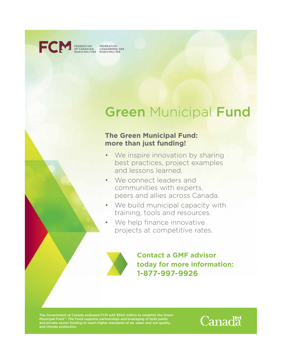

FEDERATION FÉDÉRATION<br>OF CANADIAN CANADIENNE DES<br>MUNICIPALITIES MUNICIPALITÉS

## **Green Municipal Fund**

## **The Green Municipal Fund: more than just funding!**

- We inspire innovation by sharing best practices, project examples and lessons learned.
- We connect leaders and communities with experts, peers and allies across Canada.
- We build municipal capacity with training, tools and resources.
- We help finance innovative projects at competitive rates.



**Contact a GMF advisor today for more information: 1-877-997-9926**

The Government of Canada endowed FCM with \$550 million to establish the Green Municipal Fund™. The Fund supports partnerships and leveraging of both public and private-sector funding to reach higher standards of air, water and soil quality, and climate protection.

**Canadä**